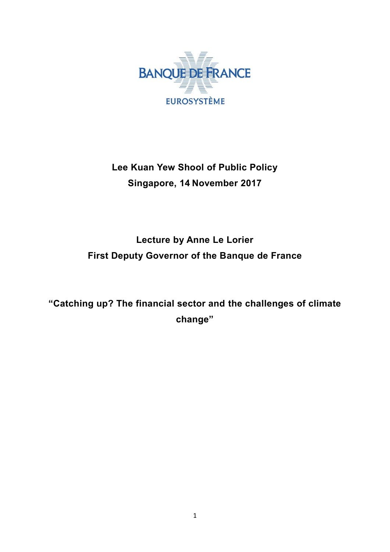

# **Lee Kuan Yew Shool of Public Policy Singapore, 14 November 2017**

## **Lecture by Anne Le Lorier First Deputy Governor of the Banque de France**

**"Catching up? The financial sector and the challenges of climate change"**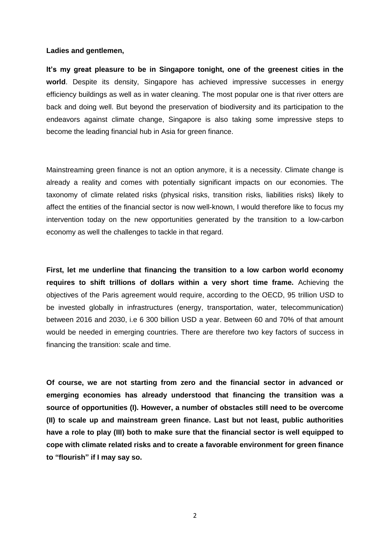#### **Ladies and gentlemen,**

**It's my great pleasure to be in Singapore tonight, one of the greenest cities in the world**. Despite its density, Singapore has achieved impressive successes in energy efficiency buildings as well as in water cleaning. The most popular one is that river otters are back and doing well. But beyond the preservation of biodiversity and its participation to the endeavors against climate change, Singapore is also taking some impressive steps to become the leading financial hub in Asia for green finance.

Mainstreaming green finance is not an option anymore, it is a necessity. Climate change is already a reality and comes with potentially significant impacts on our economies. The taxonomy of climate related risks (physical risks, transition risks, liabilities risks) likely to affect the entities of the financial sector is now well-known, I would therefore like to focus my intervention today on the new opportunities generated by the transition to a low-carbon economy as well the challenges to tackle in that regard.

**First, let me underline that financing the transition to a low carbon world economy requires to shift trillions of dollars within a very short time frame.** Achieving the objectives of the Paris agreement would require, according to the OECD, 95 trillion USD to be invested globally in infrastructures (energy, transportation, water, telecommunication) between 2016 and 2030, i.e 6 300 billion USD a year. Between 60 and 70% of that amount would be needed in emerging countries. There are therefore two key factors of success in financing the transition: scale and time.

**Of course, we are not starting from zero and the financial sector in advanced or emerging economies has already understood that financing the transition was a source of opportunities (I). However, a number of obstacles still need to be overcome (II) to scale up and mainstream green finance. Last but not least, public authorities have a role to play (III) both to make sure that the financial sector is well equipped to cope with climate related risks and to create a favorable environment for green finance to "flourish" if I may say so.**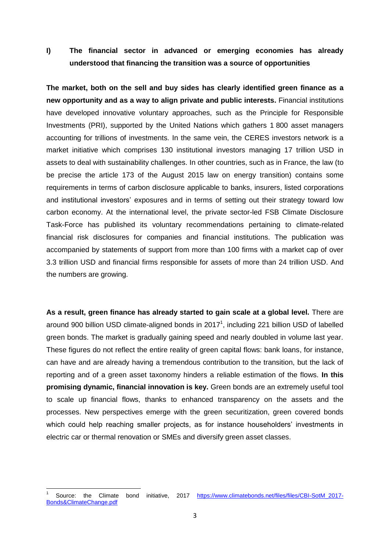**I) The financial sector in advanced or emerging economies has already understood that financing the transition was a source of opportunities** 

**The market, both on the sell and buy sides has clearly identified green finance as a new opportunity and as a way to align private and public interests.** Financial institutions have developed innovative voluntary approaches, such as the Principle for Responsible Investments (PRI), supported by the United Nations which gathers 1 800 asset managers accounting for trillions of investments. In the same vein, the CERES investors network is a market initiative which comprises 130 institutional investors managing 17 trillion USD in assets to deal with sustainability challenges. In other countries, such as in France, the law (to be precise the article 173 of the August 2015 law on energy transition) contains some requirements in terms of carbon disclosure applicable to banks, insurers, listed corporations and institutional investors' exposures and in terms of setting out their strategy toward low carbon economy. At the international level, the private sector-led FSB Climate Disclosure Task-Force has published its voluntary recommendations pertaining to climate-related financial risk disclosures for companies and financial institutions. The publication was accompanied by statements of support from more than 100 firms with a market cap of over 3.3 trillion USD and financial firms responsible for assets of more than 24 trillion USD. And the numbers are growing.

**As a result, green finance has already started to gain scale at a global level.** There are around 900 billion USD climate-aligned bonds in  $2017<sup>1</sup>$ , including 221 billion USD of labelled green bonds. The market is gradually gaining speed and nearly doubled in volume last year. These figures do not reflect the entire reality of green capital flows: bank loans, for instance, can have and are already having a tremendous contribution to the transition, but the lack of reporting and of a green asset taxonomy hinders a reliable estimation of the flows. **In this promising dynamic, financial innovation is key.** Green bonds are an extremely useful tool to scale up financial flows, thanks to enhanced transparency on the assets and the processes. New perspectives emerge with the green securitization, green covered bonds which could help reaching smaller projects, as for instance householders' investments in electric car or thermal renovation or SMEs and diversify green asset classes.

 $\overline{a}$ 

<sup>1</sup> Source: the Climate bond initiative, 2017 [https://www.climatebonds.net/files/files/CBI-SotM\\_2017-](https://www.climatebonds.net/files/files/CBI-SotM_2017-Bonds&ClimateChange.pdf) [Bonds&ClimateChange.pdf](https://www.climatebonds.net/files/files/CBI-SotM_2017-Bonds&ClimateChange.pdf)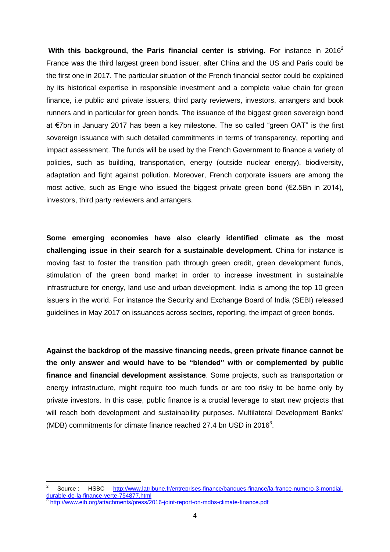With this background, the Paris financial center is striving. For instance in 2016<sup>2</sup> France was the third largest green bond issuer, after China and the US and Paris could be the first one in 2017. The particular situation of the French financial sector could be explained by its historical expertise in responsible investment and a complete value chain for green finance, i.e public and private issuers, third party reviewers, investors, arrangers and book runners and in particular for green bonds. The issuance of the biggest green sovereign bond at €7bn in January 2017 has been a key milestone. The so called "green OAT" is the first sovereign issuance with such detailed commitments in terms of transparency, reporting and impact assessment. The funds will be used by the French Government to finance a variety of policies, such as building, transportation, energy (outside nuclear energy), biodiversity, adaptation and fight against pollution. Moreover, French corporate issuers are among the most active, such as Engie who issued the biggest private green bond (€2.5Bn in 2014), investors, third party reviewers and arrangers.

**Some emerging economies have also clearly identified climate as the most challenging issue in their search for a sustainable development.** China for instance is moving fast to foster the transition path through green credit, green development funds, stimulation of the green bond market in order to increase investment in sustainable infrastructure for energy, land use and urban development. India is among the top 10 green issuers in the world. For instance the Security and Exchange Board of India (SEBI) released guidelines in May 2017 on issuances across sectors, reporting, the impact of green bonds.

**Against the backdrop of the massive financing needs, green private finance cannot be the only answer and would have to be "blended" with or complemented by public finance and financial development assistance**. Some projects, such as transportation or energy infrastructure, might require too much funds or are too risky to be borne only by private investors. In this case, public finance is a crucial leverage to start new projects that will reach both development and sustainability purposes. Multilateral Development Banks' (MDB) commitments for climate finance reached 27.4 bn USD in 2016<sup>3</sup>.

**.** 

<sup>2</sup> Source : HSBC [http://www.latribune.fr/entreprises-finance/banques-finance/la-france-numero-3-mondial](http://www.latribune.fr/entreprises-finance/banques-finance/la-france-numero-3-mondial-durable-de-la-finance-verte-754877.html)[durable-de-la-finance-verte-754877.html](http://www.latribune.fr/entreprises-finance/banques-finance/la-france-numero-3-mondial-durable-de-la-finance-verte-754877.html) 3 <http://www.eib.org/attachments/press/2016-joint-report-on-mdbs-climate-finance.pdf>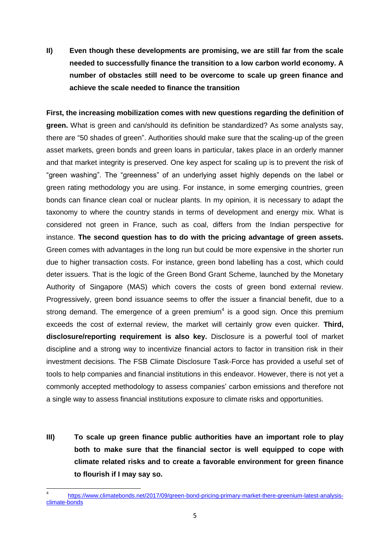### **II) Even though these developments are promising, we are still far from the scale needed to successfully finance the transition to a low carbon world economy. A number of obstacles still need to be overcome to scale up green finance and achieve the scale needed to finance the transition**

**First, the increasing mobilization comes with new questions regarding the definition of green.** What is green and can/should its definition be standardized? As some analysts say, there are "50 shades of green". Authorities should make sure that the scaling-up of the green asset markets, green bonds and green loans in particular, takes place in an orderly manner and that market integrity is preserved. One key aspect for scaling up is to prevent the risk of "green washing". The "greenness" of an underlying asset highly depends on the label or green rating methodology you are using. For instance, in some emerging countries, green bonds can finance clean coal or nuclear plants. In my opinion, it is necessary to adapt the taxonomy to where the country stands in terms of development and energy mix. What is considered not green in France, such as coal, differs from the Indian perspective for instance. **The second question has to do with the pricing advantage of green assets.**  Green comes with advantages in the long run but could be more expensive in the shorter run due to higher transaction costs. For instance, green bond labelling has a cost, which could deter issuers. That is the logic of the Green Bond Grant Scheme, launched by the Monetary Authority of Singapore (MAS) which covers the costs of green bond external review. Progressively, green bond issuance seems to offer the issuer a financial benefit, due to a strong demand. The emergence of a green premium<sup>4</sup> is a good sign. Once this premium exceeds the cost of external review, the market will certainly grow even quicker. **Third, disclosure/reporting requirement is also key.** Disclosure is a powerful tool of market discipline and a strong way to incentivize financial actors to factor in transition risk in their investment decisions. The FSB Climate Disclosure Task-Force has provided a useful set of tools to help companies and financial institutions in this endeavor. However, there is not yet a commonly accepted methodology to assess companies' carbon emissions and therefore not a single way to assess financial institutions exposure to climate risks and opportunities.

**III) To scale up green finance public authorities have an important role to play both to make sure that the financial sector is well equipped to cope with climate related risks and to create a favorable environment for green finance to flourish if I may say so.**

 $\overline{\phantom{a}}$ 4 [https://www.climatebonds.net/2017/09/green-bond-pricing-primary-market-there-greenium-latest-analysis](https://www.climatebonds.net/2017/09/green-bond-pricing-primary-market-there-greenium-latest-analysis-climate-bonds)[climate-bonds](https://www.climatebonds.net/2017/09/green-bond-pricing-primary-market-there-greenium-latest-analysis-climate-bonds)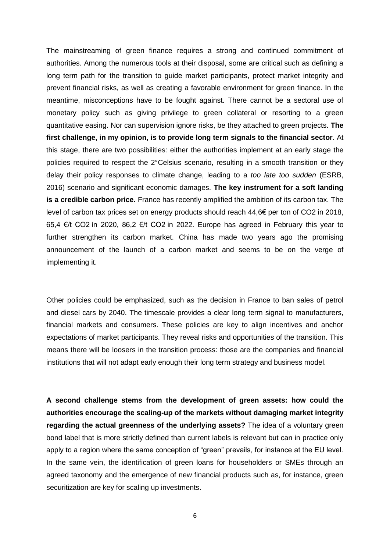The mainstreaming of green finance requires a strong and continued commitment of authorities. Among the numerous tools at their disposal, some are critical such as defining a long term path for the transition to guide market participants, protect market integrity and prevent financial risks, as well as creating a favorable environment for green finance. In the meantime, misconceptions have to be fought against. There cannot be a sectoral use of monetary policy such as giving privilege to green collateral or resorting to a green quantitative easing. Nor can supervision ignore risks, be they attached to green projects. **The first challenge, in my opinion, is to provide long term signals to the financial sector**. At this stage, there are two possibilities: either the authorities implement at an early stage the policies required to respect the 2°Celsius scenario, resulting in a smooth transition or they delay their policy responses to climate change, leading to a *too late too sudden* (ESRB, 2016) scenario and significant economic damages. **The key instrument for a soft landing is a credible carbon price.** France has recently amplified the ambition of its carbon tax. The level of carbon tax prices set on energy products should reach 44,6€ per ton of CO2 in 2018, 65,4 €/t CO2 in 2020, 86,2 €/t CO2 in 2022. Europe has agreed in February this year to further strengthen its carbon market. China has made two years ago the promising announcement of the launch of a carbon market and seems to be on the verge of implementing it.

Other policies could be emphasized, such as the decision in France to ban sales of petrol and diesel cars by 2040. The timescale provides a clear long term signal to manufacturers, financial markets and consumers. These policies are key to align incentives and anchor expectations of market participants. They reveal risks and opportunities of the transition. This means there will be loosers in the transition process: those are the companies and financial institutions that will not adapt early enough their long term strategy and business model.

**A second challenge stems from the development of green assets: how could the authorities encourage the scaling-up of the markets without damaging market integrity regarding the actual greenness of the underlying assets?** The idea of a voluntary green bond label that is more strictly defined than current labels is relevant but can in practice only apply to a region where the same conception of "green" prevails, for instance at the EU level. In the same vein, the identification of green loans for householders or SMEs through an agreed taxonomy and the emergence of new financial products such as, for instance, green securitization are key for scaling up investments.

6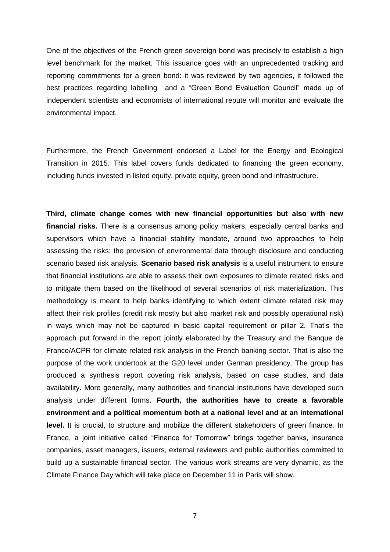One of the objectives of the French green sovereign bond was precisely to establish a high level benchmark for the market. This issuance goes with an unprecedented tracking and reporting commitments for a green bond: it was reviewed by two agencies, it followed the best practices regarding labelling and a "Green Bond Evaluation Council" made up of independent scientists and economists of international repute will monitor and evaluate the environmental impact.

Furthermore, the French Government endorsed a Label for the Energy and Ecological Transition in 2015. This label covers funds dedicated to financing the green economy, including funds invested in listed equity, private equity, green bond and infrastructure.

**Third, climate change comes with new financial opportunities but also with new financial risks.** There is a consensus among policy makers, especially central banks and supervisors which have a financial stability mandate, around two approaches to help assessing the risks: the provision of environmental data through disclosure and conducting scenario based risk analysis. **Scenario based risk analysis** is a useful instrument to ensure that financial institutions are able to assess their own exposures to climate related risks and to mitigate them based on the likelihood of several scenarios of risk materialization. This methodology is meant to help banks identifying to which extent climate related risk may affect their risk profiles (credit risk mostly but also market risk and possibly operational risk) in ways which may not be captured in basic capital requirement or pillar 2. That's the approach put forward in the report jointly elaborated by the Treasury and the Banque de France/ACPR for climate related risk analysis in the French banking sector. That is also the purpose of the work undertook at the G20 level under German presidency. The group has produced a synthesis report covering risk analysis, based on case studies, and data availability. More generally, many authorities and financial institutions have developed such analysis under different forms. **Fourth, the authorities have to create a favorable environment and a political momentum both at a national level and at an international level.** It is crucial, to structure and mobilize the different stakeholders of green finance. In France, a joint initiative called "Finance for Tomorrow" brings together banks, insurance companies, asset managers, issuers, external reviewers and public authorities committed to build up a sustainable financial sector. The various work streams are very dynamic, as the Climate Finance Day which will take place on December 11 in Paris will show.